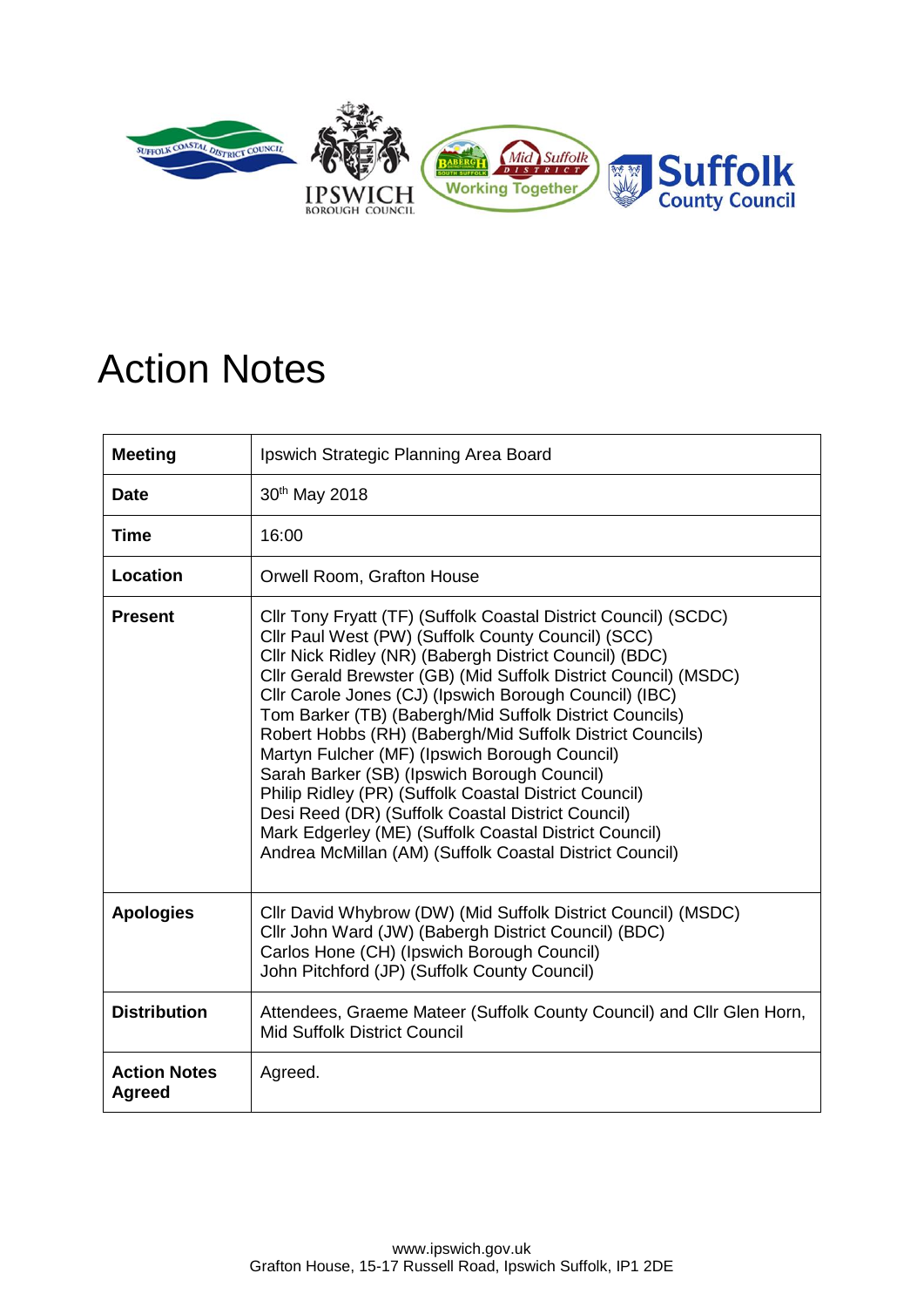

## Action Notes

| <b>Meeting</b>                       | Ipswich Strategic Planning Area Board                                                                                                                                                                                                                                                                                                                                                                                                                                                                                                                                                                                                                                                                                                                                  |
|--------------------------------------|------------------------------------------------------------------------------------------------------------------------------------------------------------------------------------------------------------------------------------------------------------------------------------------------------------------------------------------------------------------------------------------------------------------------------------------------------------------------------------------------------------------------------------------------------------------------------------------------------------------------------------------------------------------------------------------------------------------------------------------------------------------------|
| <b>Date</b>                          | 30 <sup>th</sup> May 2018                                                                                                                                                                                                                                                                                                                                                                                                                                                                                                                                                                                                                                                                                                                                              |
| Time                                 | 16:00                                                                                                                                                                                                                                                                                                                                                                                                                                                                                                                                                                                                                                                                                                                                                                  |
| <b>Location</b>                      | Orwell Room, Grafton House                                                                                                                                                                                                                                                                                                                                                                                                                                                                                                                                                                                                                                                                                                                                             |
| <b>Present</b>                       | Cllr Tony Fryatt (TF) (Suffolk Coastal District Council) (SCDC)<br>Cllr Paul West (PW) (Suffolk County Council) (SCC)<br>Cllr Nick Ridley (NR) (Babergh District Council) (BDC)<br>Cllr Gerald Brewster (GB) (Mid Suffolk District Council) (MSDC)<br>Cllr Carole Jones (CJ) (Ipswich Borough Council) (IBC)<br>Tom Barker (TB) (Babergh/Mid Suffolk District Councils)<br>Robert Hobbs (RH) (Babergh/Mid Suffolk District Councils)<br>Martyn Fulcher (MF) (Ipswich Borough Council)<br>Sarah Barker (SB) (Ipswich Borough Council)<br>Philip Ridley (PR) (Suffolk Coastal District Council)<br>Desi Reed (DR) (Suffolk Coastal District Council)<br>Mark Edgerley (ME) (Suffolk Coastal District Council)<br>Andrea McMillan (AM) (Suffolk Coastal District Council) |
| <b>Apologies</b>                     | Cllr David Whybrow (DW) (Mid Suffolk District Council) (MSDC)<br>Cllr John Ward (JW) (Babergh District Council) (BDC)<br>Carlos Hone (CH) (Ipswich Borough Council)<br>John Pitchford (JP) (Suffolk County Council)                                                                                                                                                                                                                                                                                                                                                                                                                                                                                                                                                    |
| <b>Distribution</b>                  | Attendees, Graeme Mateer (Suffolk County Council) and Cllr Glen Horn,<br><b>Mid Suffolk District Council</b>                                                                                                                                                                                                                                                                                                                                                                                                                                                                                                                                                                                                                                                           |
| <b>Action Notes</b><br><b>Agreed</b> | Agreed.                                                                                                                                                                                                                                                                                                                                                                                                                                                                                                                                                                                                                                                                                                                                                                |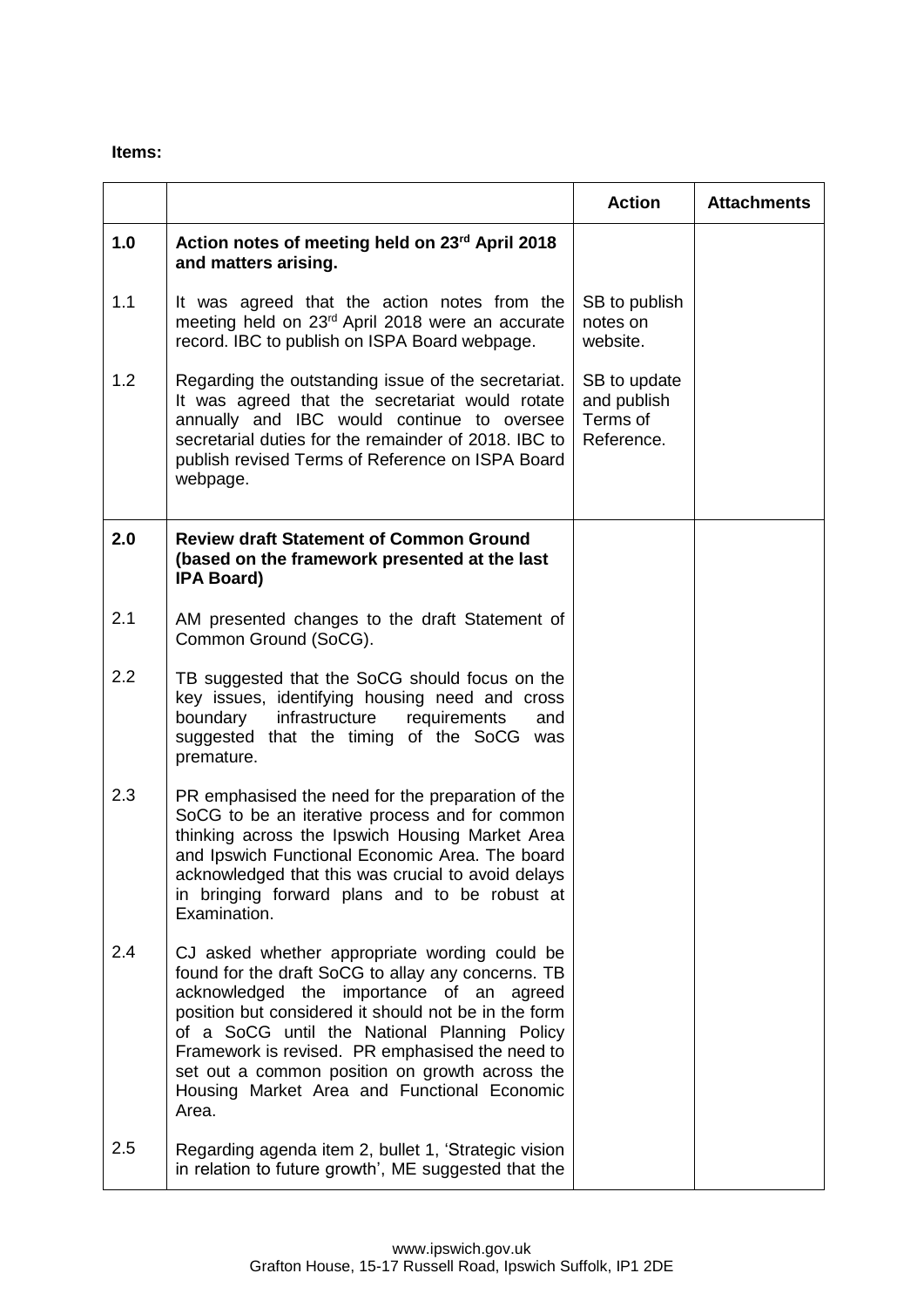## **Items:**

|     |                                                                                                                                                                                                                                                                                                                                                                                                                         | <b>Action</b>                                         | <b>Attachments</b> |
|-----|-------------------------------------------------------------------------------------------------------------------------------------------------------------------------------------------------------------------------------------------------------------------------------------------------------------------------------------------------------------------------------------------------------------------------|-------------------------------------------------------|--------------------|
| 1.0 | Action notes of meeting held on 23 <sup>rd</sup> April 2018<br>and matters arising.                                                                                                                                                                                                                                                                                                                                     |                                                       |                    |
| 1.1 | It was agreed that the action notes from the<br>meeting held on 23 <sup>rd</sup> April 2018 were an accurate<br>record. IBC to publish on ISPA Board webpage.                                                                                                                                                                                                                                                           | SB to publish<br>notes on<br>website.                 |                    |
| 1.2 | Regarding the outstanding issue of the secretariat.<br>It was agreed that the secretariat would rotate<br>annually and IBC would continue to oversee<br>secretarial duties for the remainder of 2018. IBC to<br>publish revised Terms of Reference on ISPA Board<br>webpage.                                                                                                                                            | SB to update<br>and publish<br>Terms of<br>Reference. |                    |
| 2.0 | <b>Review draft Statement of Common Ground</b><br>(based on the framework presented at the last<br><b>IPA Board)</b>                                                                                                                                                                                                                                                                                                    |                                                       |                    |
| 2.1 | AM presented changes to the draft Statement of<br>Common Ground (SoCG).                                                                                                                                                                                                                                                                                                                                                 |                                                       |                    |
| 2.2 | TB suggested that the SoCG should focus on the<br>key issues, identifying housing need and cross<br>boundary<br>infrastructure<br>requirements<br>and<br>suggested that the timing of the SoCG was<br>premature.                                                                                                                                                                                                        |                                                       |                    |
| 2.3 | PR emphasised the need for the preparation of the<br>SoCG to be an iterative process and for common<br>thinking across the Ipswich Housing Market Area<br>and Ipswich Functional Economic Area. The board<br>acknowledged that this was crucial to avoid delays<br>in bringing forward plans and to be robust at<br>Examination.                                                                                        |                                                       |                    |
| 2.4 | CJ asked whether appropriate wording could be<br>found for the draft SoCG to allay any concerns. TB<br>acknowledged the importance of an<br>agreed<br>position but considered it should not be in the form<br>of a SoCG until the National Planning Policy<br>Framework is revised. PR emphasised the need to<br>set out a common position on growth across the<br>Housing Market Area and Functional Economic<br>Area. |                                                       |                    |
| 2.5 | Regarding agenda item 2, bullet 1, 'Strategic vision<br>in relation to future growth', ME suggested that the                                                                                                                                                                                                                                                                                                            |                                                       |                    |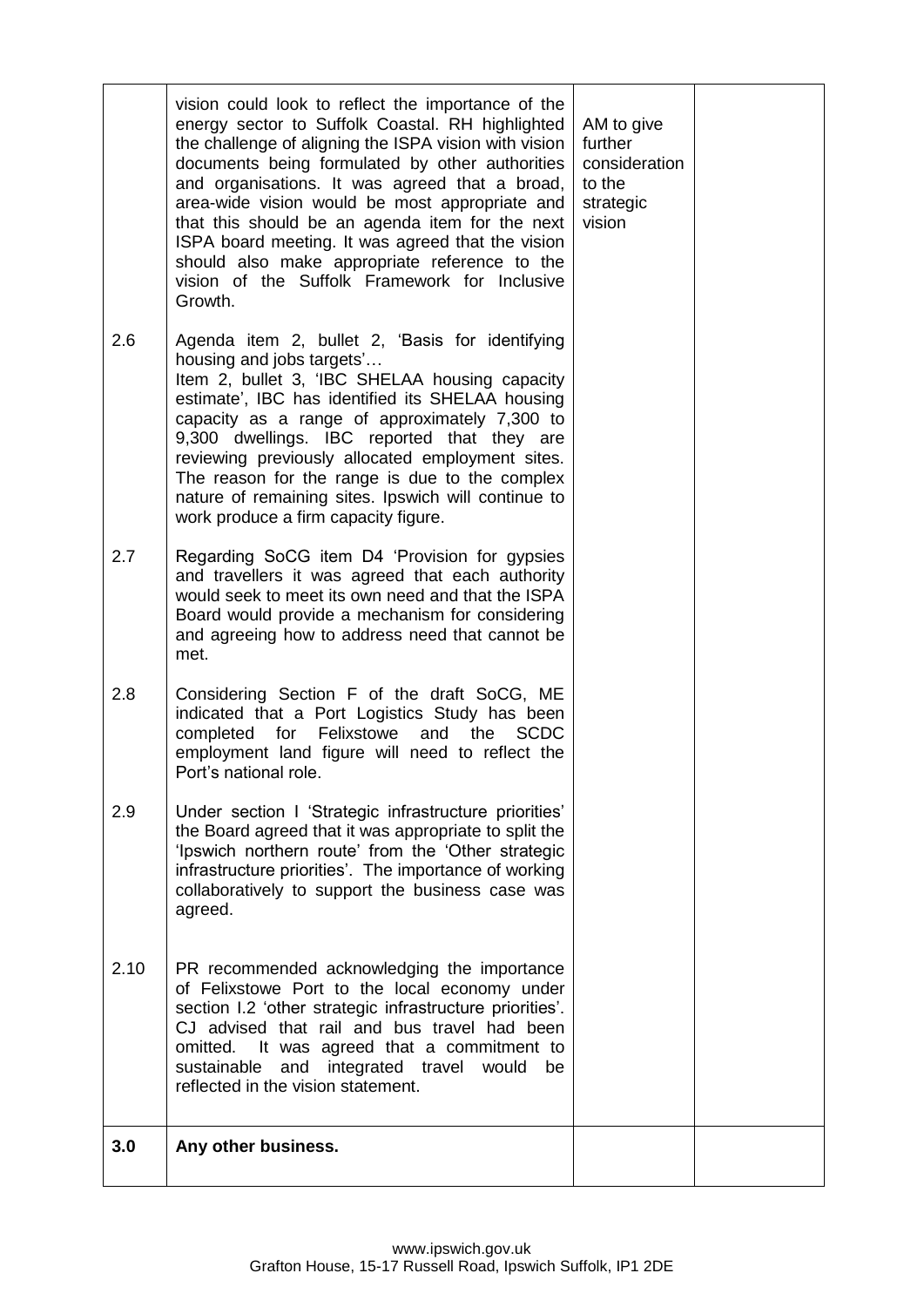|      | vision could look to reflect the importance of the<br>energy sector to Suffolk Coastal. RH highlighted<br>the challenge of aligning the ISPA vision with vision<br>documents being formulated by other authorities<br>and organisations. It was agreed that a broad,<br>area-wide vision would be most appropriate and<br>that this should be an agenda item for the next<br>ISPA board meeting. It was agreed that the vision<br>should also make appropriate reference to the<br>vision of the Suffolk Framework for Inclusive<br>Growth. | AM to give<br>further<br>consideration<br>to the<br>strategic<br>vision |  |
|------|---------------------------------------------------------------------------------------------------------------------------------------------------------------------------------------------------------------------------------------------------------------------------------------------------------------------------------------------------------------------------------------------------------------------------------------------------------------------------------------------------------------------------------------------|-------------------------------------------------------------------------|--|
| 2.6  | Agenda item 2, bullet 2, 'Basis for identifying<br>housing and jobs targets'<br>Item 2, bullet 3, 'IBC SHELAA housing capacity<br>estimate', IBC has identified its SHELAA housing<br>capacity as a range of approximately 7,300 to<br>9,300 dwellings. IBC reported that they are<br>reviewing previously allocated employment sites.<br>The reason for the range is due to the complex<br>nature of remaining sites. Ipswich will continue to<br>work produce a firm capacity figure.                                                     |                                                                         |  |
| 2.7  | Regarding SoCG item D4 'Provision for gypsies<br>and travellers it was agreed that each authority<br>would seek to meet its own need and that the ISPA<br>Board would provide a mechanism for considering<br>and agreeing how to address need that cannot be<br>met.                                                                                                                                                                                                                                                                        |                                                                         |  |
| 2.8  | Considering Section F of the draft SoCG, ME<br>indicated that a Port Logistics Study has been<br>for<br>Felixstowe<br>the<br>completed<br>and<br><b>SCDC</b><br>employment land figure will need to reflect the<br>Port's national role.                                                                                                                                                                                                                                                                                                    |                                                                         |  |
| 2.9  | Under section I 'Strategic infrastructure priorities'<br>the Board agreed that it was appropriate to split the<br>'Ipswich northern route' from the 'Other strategic<br>infrastructure priorities'. The importance of working<br>collaboratively to support the business case was<br>agreed.                                                                                                                                                                                                                                                |                                                                         |  |
| 2.10 | PR recommended acknowledging the importance<br>of Felixstowe Port to the local economy under<br>section I.2 'other strategic infrastructure priorities'.<br>CJ advised that rail and bus travel had been<br>omitted. It was agreed that a commitment to<br>sustainable and integrated travel would<br>be<br>reflected in the vision statement.                                                                                                                                                                                              |                                                                         |  |
| 3.0  | Any other business.                                                                                                                                                                                                                                                                                                                                                                                                                                                                                                                         |                                                                         |  |